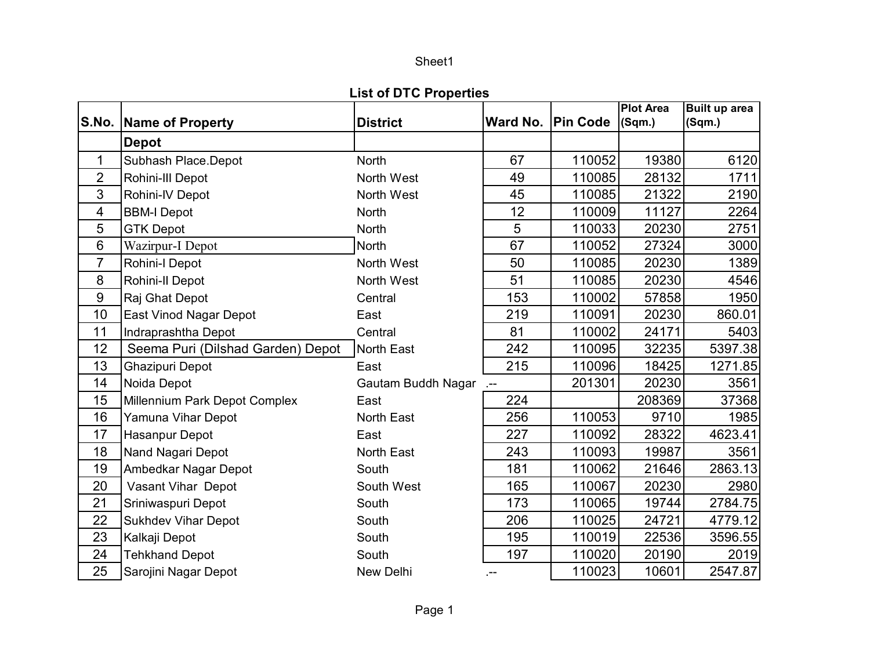## Sheet1

## **List of DTC Properties**

|                         |                                   |                    |        |                   | <b>Plot Area</b> | Built up area |
|-------------------------|-----------------------------------|--------------------|--------|-------------------|------------------|---------------|
|                         | S.No. Name of Property            | <b>District</b>    |        | Ward No. Pin Code | (Sqm.)           | (Sqm.)        |
|                         | <b>Depot</b>                      |                    |        |                   |                  |               |
| $\mathbf 1$             | Subhash Place.Depot               | <b>North</b>       | 67     | 110052            | 19380            | 6120          |
| $\overline{2}$          | Rohini-III Depot                  | North West         | 49     | 110085            | 28132            | 1711          |
| 3                       | Rohini-IV Depot                   | North West         | 45     | 110085            | 21322            | 2190          |
| $\overline{\mathbf{4}}$ | <b>BBM-I Depot</b>                | <b>North</b>       | 12     | 110009            | 11127            | 2264          |
| 5                       | <b>GTK Depot</b>                  | <b>North</b>       | 5      | 110033            | 20230            | 2751          |
| 6                       | Wazirpur-I Depot                  | <b>North</b>       | 67     | 110052            | 27324            | 3000          |
| $\overline{7}$          | Rohini-I Depot                    | North West         | 50     | 110085            | 20230            | 1389          |
| 8                       | Rohini-II Depot                   | North West         | 51     | 110085            | 20230            | 4546          |
| $9\,$                   | Raj Ghat Depot                    | Central            | 153    | 110002            | 57858            | 1950          |
| 10                      | East Vinod Nagar Depot            | East               | 219    | 110091            | 20230            | 860.01        |
| 11                      | Indraprashtha Depot               | Central            | 81     | 110002            | 24171            | 5403          |
| 12                      | Seema Puri (Dilshad Garden) Depot | <b>North East</b>  | 242    | 110095            | 32235            | 5397.38       |
| 13                      | Ghazipuri Depot                   | East               | 215    | 110096            | 18425            | 1271.85       |
| 14                      | Noida Depot                       | Gautam Buddh Nagar | $\sim$ | 201301            | 20230            | 3561          |
| 15                      | Millennium Park Depot Complex     | East               | 224    |                   | 208369           | 37368         |
| 16                      | Yamuna Vihar Depot                | <b>North East</b>  | 256    | 110053            | 9710             | 1985          |
| 17                      | Hasanpur Depot                    | East               | 227    | 110092            | 28322            | 4623.41       |
| 18                      | Nand Nagari Depot                 | <b>North East</b>  | 243    | 110093            | 19987            | 3561          |
| 19                      | Ambedkar Nagar Depot              | South              | 181    | 110062            | 21646            | 2863.13       |
| 20                      | Vasant Vihar Depot                | South West         | 165    | 110067            | 20230            | 2980          |
| 21                      | Sriniwaspuri Depot                | South              | 173    | 110065            | 19744            | 2784.75       |
| 22                      | <b>Sukhdev Vihar Depot</b>        | South              | 206    | 110025            | 24721            | 4779.12       |
| 23                      | Kalkaji Depot                     | South              | 195    | 110019            | 22536            | 3596.55       |
| 24                      | <b>Tehkhand Depot</b>             | South              | 197    | 110020            | 20190            | 2019          |
| 25                      | Sarojini Nagar Depot              | New Delhi          | .--    | 110023            | 10601            | 2547.87       |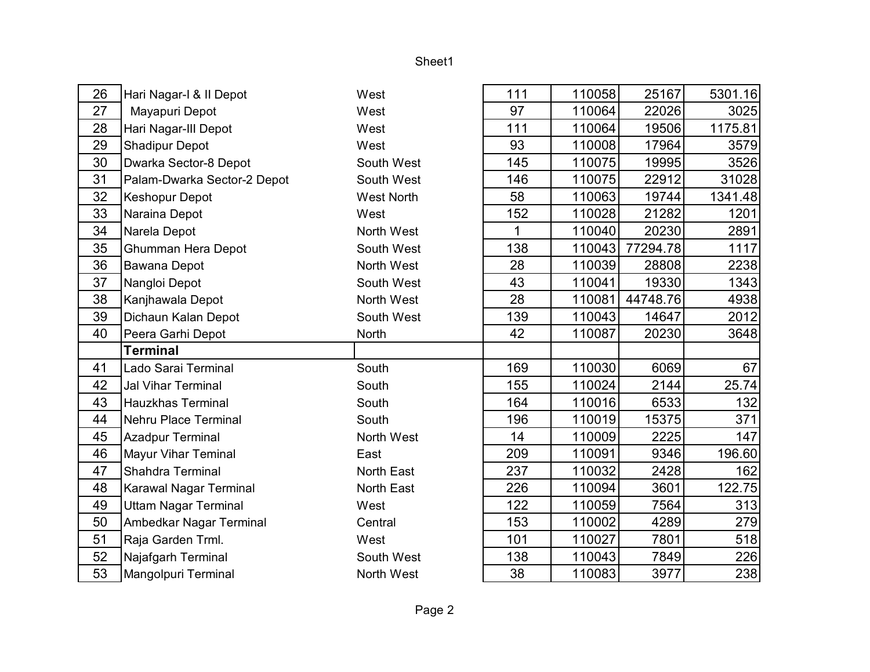## Sheet1

| 26 | Hari Nagar-I & II Depot     | West              | 111 | 110058 | 25167    | 5301.16 |
|----|-----------------------------|-------------------|-----|--------|----------|---------|
| 27 | Mayapuri Depot              | West              | 97  | 110064 | 22026    | 3025    |
| 28 | Hari Nagar-III Depot        | West              | 111 | 110064 | 19506    | 1175.81 |
| 29 | <b>Shadipur Depot</b>       | West              | 93  | 110008 | 17964    | 3579    |
| 30 | Dwarka Sector-8 Depot       | South West        | 145 | 110075 | 19995    | 3526    |
| 31 | Palam-Dwarka Sector-2 Depot | South West        | 146 | 110075 | 22912    | 31028   |
| 32 | <b>Keshopur Depot</b>       | <b>West North</b> | 58  | 110063 | 19744    | 1341.48 |
| 33 | Naraina Depot               | West              | 152 | 110028 | 21282    | 1201    |
| 34 | Narela Depot                | North West        | 1   | 110040 | 20230    | 2891    |
| 35 | <b>Ghumman Hera Depot</b>   | South West        | 138 | 110043 | 77294.78 | 1117    |
| 36 | Bawana Depot                | North West        | 28  | 110039 | 28808    | 2238    |
| 37 | Nangloi Depot               | South West        | 43  | 110041 | 19330    | 1343    |
| 38 | Kanjhawala Depot            | North West        | 28  | 110081 | 44748.76 | 4938    |
| 39 | Dichaun Kalan Depot         | South West        | 139 | 110043 | 14647    | 2012    |
| 40 | Peera Garhi Depot           | North             | 42  | 110087 | 20230    | 3648    |
|    | <b>Terminal</b>             |                   |     |        |          |         |
| 41 | Lado Sarai Terminal         | South             | 169 | 110030 | 6069     | 67      |
| 42 | <b>Jal Vihar Terminal</b>   | South             | 155 | 110024 | 2144     | 25.74   |
| 43 | <b>Hauzkhas Terminal</b>    | South             | 164 | 110016 | 6533     | 132     |
| 44 | Nehru Place Terminal        | South             | 196 | 110019 | 15375    | 371     |
| 45 | <b>Azadpur Terminal</b>     | North West        | 14  | 110009 | 2225     | 147     |
| 46 | <b>Mayur Vihar Teminal</b>  | East              | 209 | 110091 | 9346     | 196.60  |
| 47 | Shahdra Terminal            | North East        | 237 | 110032 | 2428     | 162     |
| 48 | Karawal Nagar Terminal      | North East        | 226 | 110094 | 3601     | 122.75  |
| 49 | <b>Uttam Nagar Terminal</b> | West              | 122 | 110059 | 7564     | 313     |
| 50 | Ambedkar Nagar Terminal     | Central           | 153 | 110002 | 4289     | 279     |
| 51 | Raja Garden Trml.           | West              | 101 | 110027 | 7801     | 518     |
| 52 | Najafgarh Terminal          | South West        | 138 | 110043 | 7849     | 226     |
| 53 | Mangolpuri Terminal         | North West        | 38  | 110083 | 3977     | 238     |